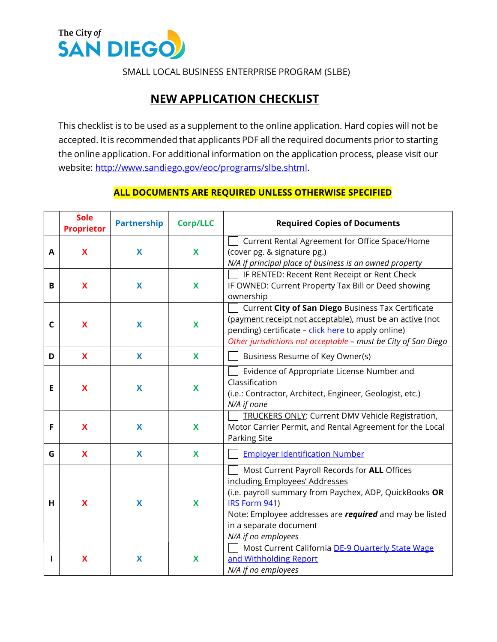

SMALL LOCAL BUSINESS ENTERPRISE PROGRAM (SLBE)

## NEW APPLICATION CHECKLIST

This checklist is to be used as a supplement to the online application. Hard copies will not be accepted. It is recommended that applicants PDF all the required documents prior to starting the online application. For additional information on the application process, please visit our website: http://www.sandiego.gov/eoc/programs/slbe.shtml.

## ALL DOCUMENTS ARE REQUIRED UNLESS OTHERWISE SPECIFIED

|   | <b>Sole</b><br><b>Proprietor</b> | <b>Partnership</b> | <b>Corp/LLC</b> | <b>Required Copies of Documents</b>                                                                                                                                                                                                                                          |
|---|----------------------------------|--------------------|-----------------|------------------------------------------------------------------------------------------------------------------------------------------------------------------------------------------------------------------------------------------------------------------------------|
| A | X                                | X                  | X               | Current Rental Agreement for Office Space/Home<br>(cover pg. & signature pg.)<br>N/A if principal place of business is an owned property                                                                                                                                     |
| B | X                                | X                  | X               | IF RENTED: Recent Rent Receipt or Rent Check<br>IF OWNED: Current Property Tax Bill or Deed showing<br>ownership                                                                                                                                                             |
| C | X                                | X                  | X               | Current City of San Diego Business Tax Certificate<br>(payment receipt not acceptable), must be an active (not<br>pending) certificate - click here to apply online)<br>Other jurisdictions not acceptable - must be City of San Diego                                       |
| D | X                                | X                  | X               | Business Resume of Key Owner(s)                                                                                                                                                                                                                                              |
| Е | X                                | X                  | X               | Evidence of Appropriate License Number and<br>Classification<br>(i.e.: Contractor, Architect, Engineer, Geologist, etc.)<br>N/A if none                                                                                                                                      |
| F | X                                | X                  | X               | TRUCKERS ONLY: Current DMV Vehicle Registration,<br>Motor Carrier Permit, and Rental Agreement for the Local<br><b>Parking Site</b>                                                                                                                                          |
| G | $\boldsymbol{\mathsf{X}}$        | X                  | X               | <b>Employer Identification Number</b>                                                                                                                                                                                                                                        |
| н | X                                | X                  | X               | Most Current Payroll Records for ALL Offices<br>including Employees' Addresses<br>(i.e. payroll summary from Paychex, ADP, QuickBooks OR<br>IRS Form 941)<br>Note: Employee addresses are <i>required</i> and may be listed<br>in a separate document<br>N/A if no employees |
| ı | X                                | X                  | X               | Most Current California DE-9 Quarterly State Wage<br>and Withholding Report<br>N/A if no employees                                                                                                                                                                           |